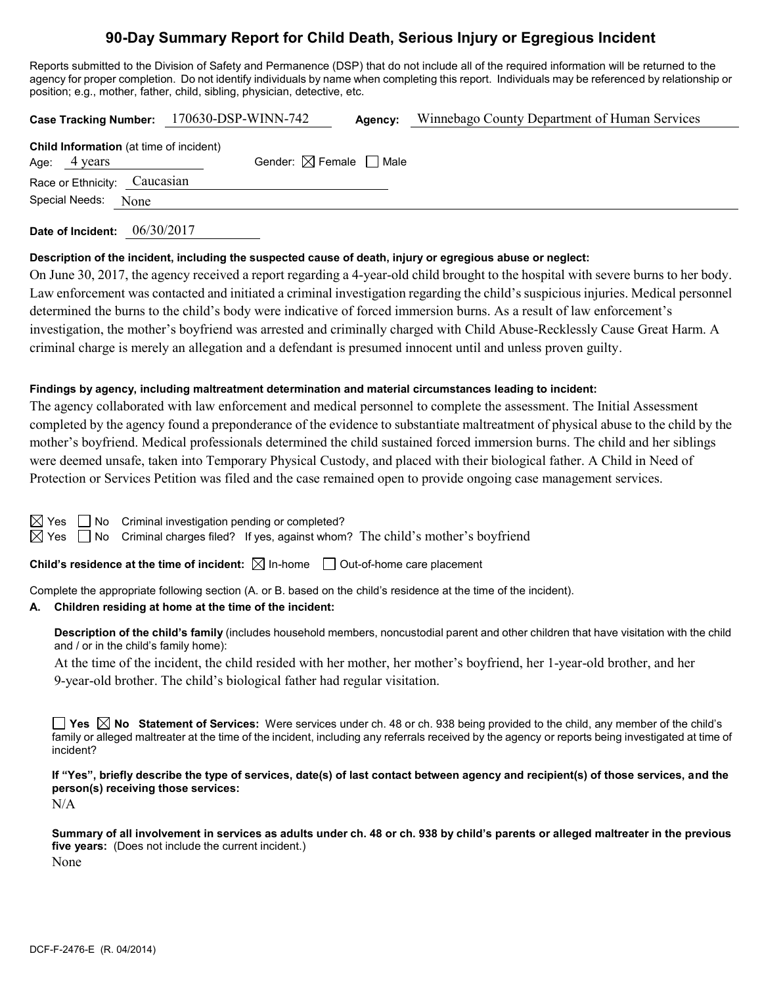# **90-Day Summary Report for Child Death, Serious Injury or Egregious Incident**

Reports submitted to the Division of Safety and Permanence (DSP) that do not include all of the required information will be returned to the agency for proper completion. Do not identify individuals by name when completing this report. Individuals may be referenced by relationship or position; e.g., mother, father, child, sibling, physician, detective, etc.

|                                                                |      | Case Tracking Number: 170630-DSP-WINN-742 |                                        | Agency: | Winnebago County Department of Human Services |
|----------------------------------------------------------------|------|-------------------------------------------|----------------------------------------|---------|-----------------------------------------------|
| <b>Child Information</b> (at time of incident)<br>Age: 4 years |      |                                           | Gender: $\boxtimes$ Female $\Box$ Male |         |                                               |
| Race or Ethnicity: Caucasian                                   |      |                                           |                                        |         |                                               |
| Special Needs:                                                 | None |                                           |                                        |         |                                               |
|                                                                |      |                                           |                                        |         |                                               |

**Date of Incident:** 06/30/2017

## **Description of the incident, including the suspected cause of death, injury or egregious abuse or neglect:**

On June 30, 2017, the agency received a report regarding a 4-year-old child brought to the hospital with severe burns to her body. Law enforcement was contacted and initiated a criminal investigation regarding the child's suspicious injuries. Medical personnel determined the burns to the child's body were indicative of forced immersion burns. As a result of law enforcement's investigation, the mother's boyfriend was arrested and criminally charged with Child Abuse-Recklessly Cause Great Harm. A criminal charge is merely an allegation and a defendant is presumed innocent until and unless proven guilty.

# **Findings by agency, including maltreatment determination and material circumstances leading to incident:**

The agency collaborated with law enforcement and medical personnel to complete the assessment. The Initial Assessment completed by the agency found a preponderance of the evidence to substantiate maltreatment of physical abuse to the child by the mother's boyfriend. Medical professionals determined the child sustained forced immersion burns. The child and her siblings were deemed unsafe, taken into Temporary Physical Custody, and placed with their biological father. A Child in Need of Protection or Services Petition was filed and the case remained open to provide ongoing case management services.

|  | $\boxtimes$ Yes $\Box$ No Criminal investigation pending or completed?<br>$\boxtimes$ Yes $\Box$ No Criminal charges filed? If yes, against whom? The child's mother's boyfriend |
|--|----------------------------------------------------------------------------------------------------------------------------------------------------------------------------------|
|  | <b>Child's residence at the time of incident:</b> $\boxtimes$ In-home $\Box$ Out-of-home care placement                                                                          |

#### Complete the appropriate following section (A. or B. based on the child's residence at the time of the incident). **A. Children residing at home at the time of the incident:**

**Description of the child's family** (includes household members, noncustodial parent and other children that have visitation with the child and / or in the child's family home):

At the time of the incident, the child resided with her mother, her mother's boyfriend, her 1-year-old brother, and her 9-year-old brother. The child's biological father had regular visitation.

■ Yes △ No Statement of Services: Were services under ch. 48 or ch. 938 being provided to the child, any member of the child's family or alleged maltreater at the time of the incident, including any referrals received by the agency or reports being investigated at time of incident?

**If "Yes", briefly describe the type of services, date(s) of last contact between agency and recipient(s) of those services, and the person(s) receiving those services:**

N/A

**Summary of all involvement in services as adults under ch. 48 or ch. 938 by child's parents or alleged maltreater in the previous five years:** (Does not include the current incident.) None